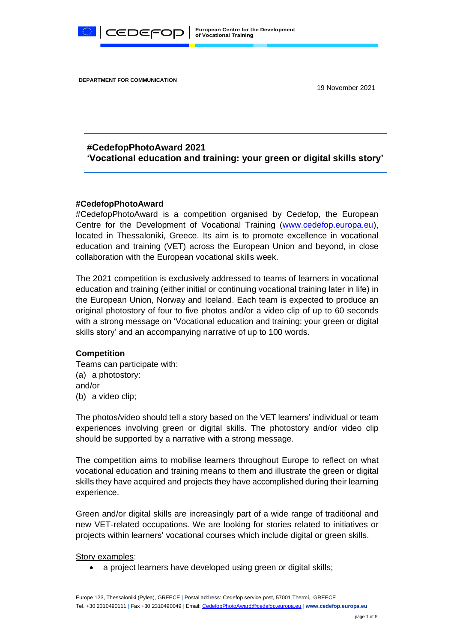

**DEPARTMENT FOR COMMUNICATION**

19 November 2021

# **#CedefopPhotoAward 2021 'Vocational education and training: your green or digital skills story'**

#### **#CedefopPhotoAward**

#CedefopPhotoAward is a competition organised by Cedefop, the European Centre for the Development of Vocational Training [\(www.cedefop.europa.eu\)](http://www.cedefop.europa.eu/), located in Thessaloniki, Greece. Its aim is to promote excellence in vocational education and training (VET) across the European Union and beyond, in close collaboration with the European vocational skills week.

The 2021 competition is exclusively addressed to teams of learners in vocational education and training (either initial or continuing vocational training later in life) in the European Union, Norway and Iceland. Each team is expected to produce an original photostory of four to five photos and/or a video clip of up to 60 seconds with a strong message on 'Vocational education and training: your green or digital skills story' and an accompanying narrative of up to 100 words.

#### **Competition**

Teams can participate with: (a) a photostory: and/or (b) a video clip;

The photos/video should tell a story based on the VET learners' individual or team experiences involving green or digital skills. The photostory and/or video clip should be supported by a narrative with a strong message.

The competition aims to mobilise learners throughout Europe to reflect on what vocational education and training means to them and illustrate the green or digital skills they have acquired and projects they have accomplished during their learning experience.

Green and/or digital skills are increasingly part of a wide range of traditional and new VET-related occupations. We are looking for stories related to initiatives or projects within learners' vocational courses which include digital or green skills.

Story examples:

• a project learners have developed using green or digital skills;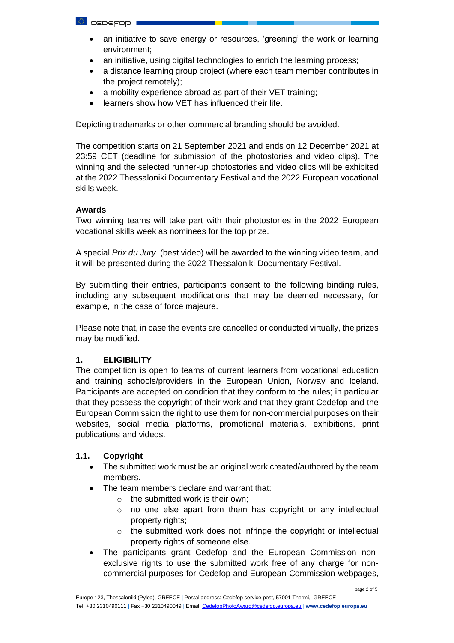- an initiative to save energy or resources, 'greening' the work or learning environment;
- an initiative, using digital technologies to enrich the learning process;
- a distance learning group project (where each team member contributes in the project remotely);
- a mobility experience abroad as part of their VET training;
- learners show how VET has influenced their life.

Depicting trademarks or other commercial branding should be avoided.

The competition starts on 21 September 2021 and ends on 12 December 2021 at 23:59 CET (deadline for submission of the photostories and video clips). The winning and the selected runner-up photostories and video clips will be exhibited at the 2022 Thessaloniki Documentary Festival and the 2022 European vocational skills week.

## **Awards**

Two winning teams will take part with their photostories in the 2022 European vocational skills week as nominees for the top prize.

A special *Prix du Jury* (best video) will be awarded to the winning video team, and it will be presented during the 2022 Thessaloniki Documentary Festival.

By submitting their entries, participants consent to the following binding rules, including any subsequent modifications that may be deemed necessary, for example, in the case of force majeure.

Please note that, in case the events are cancelled or conducted virtually, the prizes may be modified.

# **1. ELIGIBILITY**

The competition is open to teams of current learners from vocational education and training schools/providers in the European Union, Norway and Iceland. Participants are accepted on condition that they conform to the rules; in particular that they possess the copyright of their work and that they grant Cedefop and the European Commission the right to use them for non-commercial purposes on their websites, social media platforms, promotional materials, exhibitions, print publications and videos.

# **1.1. Copyright**

- The submitted work must be an original work created/authored by the team members.
- The team members declare and warrant that:
	- $\circ$  the submitted work is their own:
	- o no one else apart from them has copyright or any intellectual property rights;
	- o the submitted work does not infringe the copyright or intellectual property rights of someone else.
- The participants grant Cedefop and the European Commission nonexclusive rights to use the submitted work free of any charge for noncommercial purposes for Cedefop and European Commission webpages,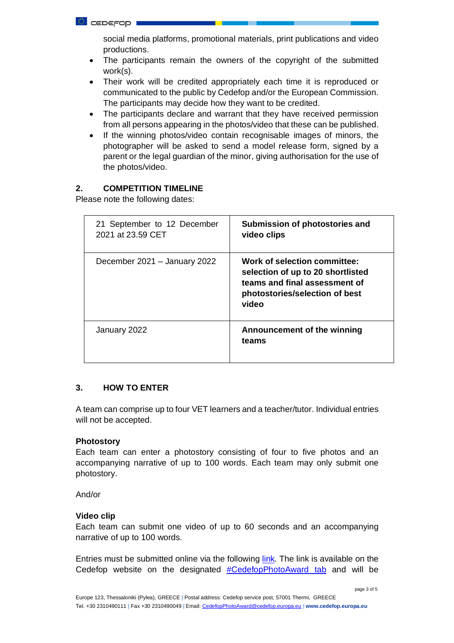social media platforms, promotional materials, print publications and video productions.

- The participants remain the owners of the copyright of the submitted work(s).
- Their work will be credited appropriately each time it is reproduced or communicated to the public by Cedefop and/or the European Commission. The participants may decide how they want to be credited.
- The participants declare and warrant that they have received permission from all persons appearing in the photos/video that these can be published.
- If the winning photos/video contain recognisable images of minors, the photographer will be asked to send a model release form, signed by a parent or the legal guardian of the minor, giving authorisation for the use of the photos/video.

# **2. COMPETITION TIMELINE**

Please note the following dates:

| 21 September to 12 December<br>2021 at 23.59 CET | Submission of photostories and<br>video clips                                                                                                 |
|--------------------------------------------------|-----------------------------------------------------------------------------------------------------------------------------------------------|
| December 2021 - January 2022                     | Work of selection committee:<br>selection of up to 20 shortlisted<br>teams and final assessment of<br>photostories/selection of best<br>video |
| January 2022                                     | Announcement of the winning<br>teams                                                                                                          |

## **3. HOW TO ENTER**

A team can comprise up to four VET learners and a teacher/tutor. Individual entries will not be accepted.

#### **Photostory**

Each team can enter a photostory consisting of four to five photos and an accompanying narrative of up to 100 words. Each team may only submit one photostory.

#### And/or

#### **Video clip**

Each team can submit one video of up to 60 seconds and an accompanying narrative of up to 100 words.

Entries must be submitted online via the following [link](https://form.jotform.com/CEDEFOP/cedefopphotoaward2021)*.* The link is available on the Cedefop website on the designated **[#CedefopPhotoAward](http://www.cedefop.europa.eu/en/tags/cedefopphotoaward) tab** and will be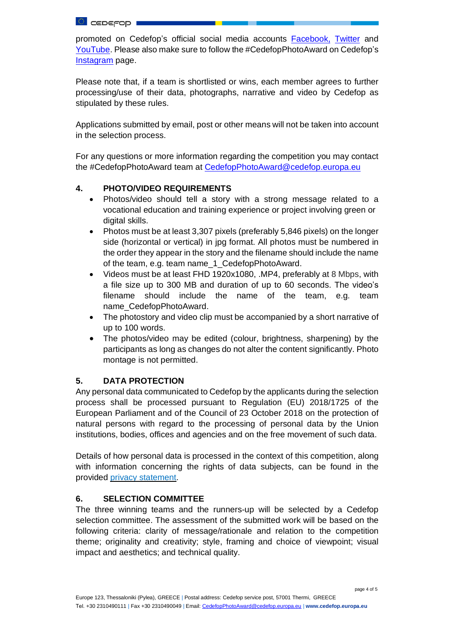**L** ceperop

promoted on Cedefop's official social media accounts [Facebook,](https://www.facebook.com/Cedefop) [Twitter](https://twitter.com/Cedefop) and [YouTube.](https://www.youtube.com/c/cedefop) Please also make sure to follow the #CedefopPhotoAward on Cedefop's [Instagram](https://www.instagram.com/cedefop/) page.

Please note that, if a team is shortlisted or wins, each member agrees to further processing/use of their data, photographs, narrative and video by Cedefop as stipulated by these rules.

Applications submitted by email, post or other means will not be taken into account in the selection process.

For any questions or more information regarding the competition you may contact the #CedefopPhotoAward team at [CedefopPhotoAward@cedefop.europa.eu](mailto:CedefopPhotoAward@cedefop.europa.eu)

# **4. PHOTO/VIDEO REQUIREMENTS**

- Photos/video should tell a story with a strong message related to a vocational education and training experience or project involving green or digital skills.
- Photos must be at least 3,307 pixels (preferably 5,846 pixels) on the longer side (horizontal or vertical) in jpg format. All photos must be numbered in the order they appear in the story and the filename should include the name of the team, e.g. team name\_1\_CedefopPhotoAward.
- Videos must be at least FHD 1920x1080, .MP4, preferably at 8 Mbps, with a file size up to 300 MB and duration of up to 60 seconds. The video's filename should include the name of the team, e.g. team name\_CedefopPhotoAward.
- The photostory and video clip must be accompanied by a short narrative of up to 100 words.
- The photos/video may be edited (colour, brightness, sharpening) by the participants as long as changes do not alter the content significantly. Photo montage is not permitted.

## **5. DATA PROTECTION**

Any personal data communicated to Cedefop by the applicants during the selection process shall be processed pursuant to Regulation (EU) 2018/1725 of the European Parliament and of the Council of 23 October 2018 on the protection of natural persons with regard to the processing of personal data by the Union institutions, bodies, offices and agencies and on the free movement of such data.

Details of how personal data is processed in the context of this competition, along with information concerning the rights of data subjects, can be found in the provided privacy [statement.](https://www.cedefop.europa.eu/en/landing-page/cedefopphotoaward)

## **6. SELECTION COMMITTEE**

The three winning teams and the runners-up will be selected by a Cedefop selection committee. The assessment of the submitted work will be based on the following criteria: clarity of message/rationale and relation to the competition theme; originality and creativity; style, framing and choice of viewpoint; visual impact and aesthetics; and technical quality.